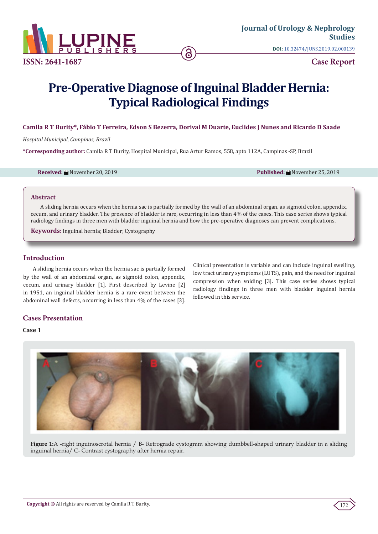

**Case Report**

# **Pre-Operative Diagnose of Inguinal Bladder Hernia: Typical Radiological Findings**

## **Camila R T Burity\*, Fábio T Ferreira, Edson S Bezerra, Dorival M Duarte, Euclides J Nunes and Ricardo D Saade**

*Hospital Municipal, Campinas, Brazil*

**\*Corresponding author:** Camila R T Burity, Hospital Municipal, Rua Artur Ramos, 558, apto 112A, Campinas -SP, Brazil

**Received:** November 20, 2019 **Published:** November 25, 2019

#### **Abstract**

A sliding hernia occurs when the hernia sac is partially formed by the wall of an abdominal organ, as sigmoid colon, appendix, cecum, and urinary bladder. The presence of bladder is rare, occurring in less than 4% of the cases. This case series shows typical radiology findings in three men with bladder inguinal hernia and how the pre-operative diagnoses can prevent complications.

**Keywords:** Inguinal hernia; Bladder; Cystography

## **Introduction**

A sliding hernia occurs when the hernia sac is partially formed by the wall of an abdominal organ, as sigmoid colon, appendix, cecum, and urinary bladder [1]. First described by Levine [2] in 1951, an inguinal bladder hernia is a rare event between the abdominal wall defects, occurring in less than 4% of the cases [3].

Clinical presentation is variable and can include inguinal swelling, low tract urinary symptoms (LUTS), pain, and the need for inguinal compression when voiding [3]. This case series shows typical radiology findings in three men with bladder inguinal hernia followed in this service.

# **Cases Presentation**

## **Case 1**



**Figure 1:**A -right inguinoscrotal hernia / B- Retrograde cystogram showing dumbbell-shaped urinary bladder in a sliding inguinal hernia/ C- Contrast cystography after hernia repair.

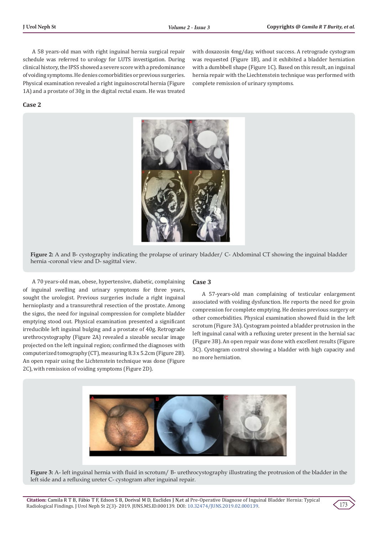with doxazosin 4mg/day, without success. A retrograde cystogram was requested (Figure 1B), and it exhibited a bladder herniation with a dumbbell shape (Figure 1C). Based on this result, an inguinal hernia repair with the Liechtenstein technique was performed with

complete remission of urinary symptoms.

A 58 years-old man with right inguinal hernia surgical repair schedule was referred to urology for LUTS investigation. During clinical history, the IPSS showed a severe score with a predominance of voiding symptoms. He denies comorbidities or previous surgeries. Physical examination revealed a right inguinoscrotal hernia (Figure 1A) and a prostate of 30g in the digital rectal exam. He was treated

#### **Case 2**



**Figure 2:** A and B- cystography indicating the prolapse of urinary bladder/ C- Abdominal CT showing the inguinal bladder hernia -coronal view and D- sagittal view.

A 70 years-old man, obese, hypertensive, diabetic, complaining of inguinal swelling and urinary symptoms for three years, sought the urologist. Previous surgeries include a right inguinal hernioplasty and a transurethral resection of the prostate. Among the signs, the need for inguinal compression for complete bladder emptying stood out. Physical examination presented a significant irreducible left inguinal bulging and a prostate of 40g. Retrograde urethrocystography (Figure 2A) revealed a sizeable secular image projected on the left inguinal region; confirmed the diagnoses with computerized tomography (CT), measuring 8.3 x 5.2cm (Figure 2B). An open repair using the Lichtenstein technique was done (Figure 2C), with remission of voiding symptoms (Figure 2D).

#### **Case 3**

A 57-years-old man complaining of testicular enlargement associated with voiding dysfunction. He reports the need for groin compression for complete emptying. He denies previous surgery or other comorbidities. Physical examination showed fluid in the left scrotum (Figure 3A). Cystogram pointed a bladder protrusion in the left inguinal canal with a refluxing ureter present in the hernial sac (Figure 3B). An open repair was done with excellent results (Figure 3C). Cystogram control showing a bladder with high capacity and no more herniation.



**Figure 3:** A- left inguinal hernia with fluid in scrotum/ B- urethrocystography illustrating the protrusion of the bladder in the left side and a refluxing ureter C- cystogram after inguinal repair.